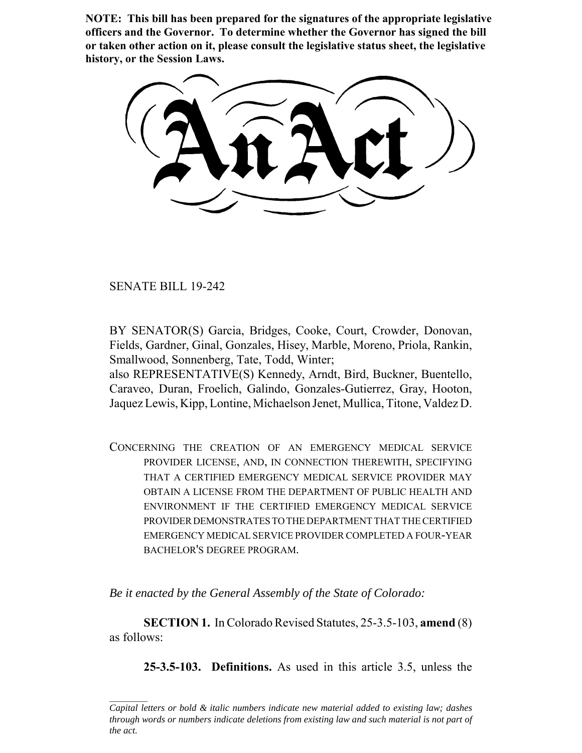**NOTE: This bill has been prepared for the signatures of the appropriate legislative officers and the Governor. To determine whether the Governor has signed the bill or taken other action on it, please consult the legislative status sheet, the legislative history, or the Session Laws.**

SENATE BILL 19-242

BY SENATOR(S) Garcia, Bridges, Cooke, Court, Crowder, Donovan, Fields, Gardner, Ginal, Gonzales, Hisey, Marble, Moreno, Priola, Rankin, Smallwood, Sonnenberg, Tate, Todd, Winter;

also REPRESENTATIVE(S) Kennedy, Arndt, Bird, Buckner, Buentello, Caraveo, Duran, Froelich, Galindo, Gonzales-Gutierrez, Gray, Hooton, Jaquez Lewis, Kipp, Lontine, Michaelson Jenet, Mullica, Titone, Valdez D.

CONCERNING THE CREATION OF AN EMERGENCY MEDICAL SERVICE PROVIDER LICENSE, AND, IN CONNECTION THEREWITH, SPECIFYING THAT A CERTIFIED EMERGENCY MEDICAL SERVICE PROVIDER MAY OBTAIN A LICENSE FROM THE DEPARTMENT OF PUBLIC HEALTH AND ENVIRONMENT IF THE CERTIFIED EMERGENCY MEDICAL SERVICE PROVIDER DEMONSTRATES TO THE DEPARTMENT THAT THE CERTIFIED EMERGENCY MEDICAL SERVICE PROVIDER COMPLETED A FOUR-YEAR BACHELOR'S DEGREE PROGRAM.

*Be it enacted by the General Assembly of the State of Colorado:*

**SECTION 1.** In Colorado Revised Statutes, 25-3.5-103, **amend** (8) as follows:

**25-3.5-103. Definitions.** As used in this article 3.5, unless the

*Capital letters or bold & italic numbers indicate new material added to existing law; dashes through words or numbers indicate deletions from existing law and such material is not part of the act.*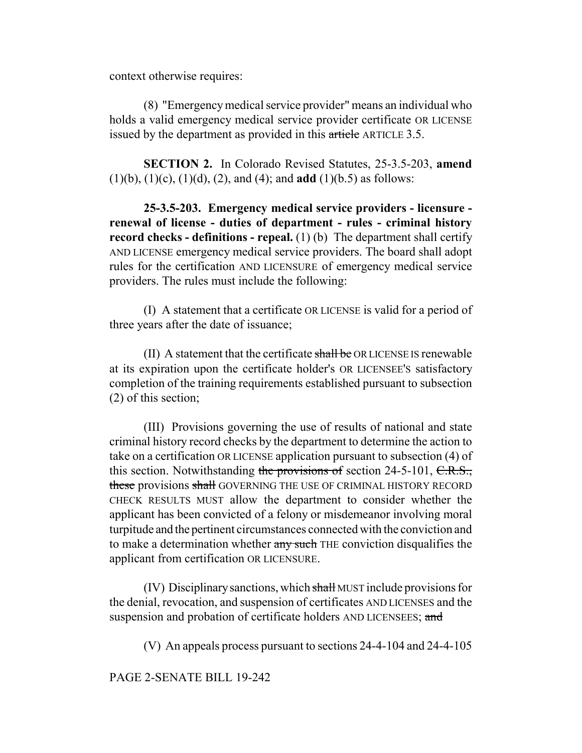context otherwise requires:

(8) "Emergency medical service provider" means an individual who holds a valid emergency medical service provider certificate OR LICENSE issued by the department as provided in this article ARTICLE 3.5.

**SECTION 2.** In Colorado Revised Statutes, 25-3.5-203, **amend** (1)(b), (1)(c), (1)(d), (2), and (4); and **add** (1)(b.5) as follows:

**25-3.5-203. Emergency medical service providers - licensure renewal of license - duties of department - rules - criminal history record checks - definitions - repeal.** (1) (b) The department shall certify AND LICENSE emergency medical service providers. The board shall adopt rules for the certification AND LICENSURE of emergency medical service providers. The rules must include the following:

(I) A statement that a certificate OR LICENSE is valid for a period of three years after the date of issuance;

(II) A statement that the certificate  $\frac{\text{shall}}{\text{be}}$  OR LICENSE IS renewable at its expiration upon the certificate holder's OR LICENSEE'S satisfactory completion of the training requirements established pursuant to subsection (2) of this section;

(III) Provisions governing the use of results of national and state criminal history record checks by the department to determine the action to take on a certification OR LICENSE application pursuant to subsection (4) of this section. Notwithstanding the provisions of section 24-5-101, C.R.S., these provisions shall GOVERNING THE USE OF CRIMINAL HISTORY RECORD CHECK RESULTS MUST allow the department to consider whether the applicant has been convicted of a felony or misdemeanor involving moral turpitude and the pertinent circumstances connected with the conviction and to make a determination whether any such THE conviction disqualifies the applicant from certification OR LICENSURE.

(IV) Disciplinary sanctions, which shall MUST include provisions for the denial, revocation, and suspension of certificates AND LICENSES and the suspension and probation of certificate holders AND LICENSEES; and

(V) An appeals process pursuant to sections 24-4-104 and 24-4-105

PAGE 2-SENATE BILL 19-242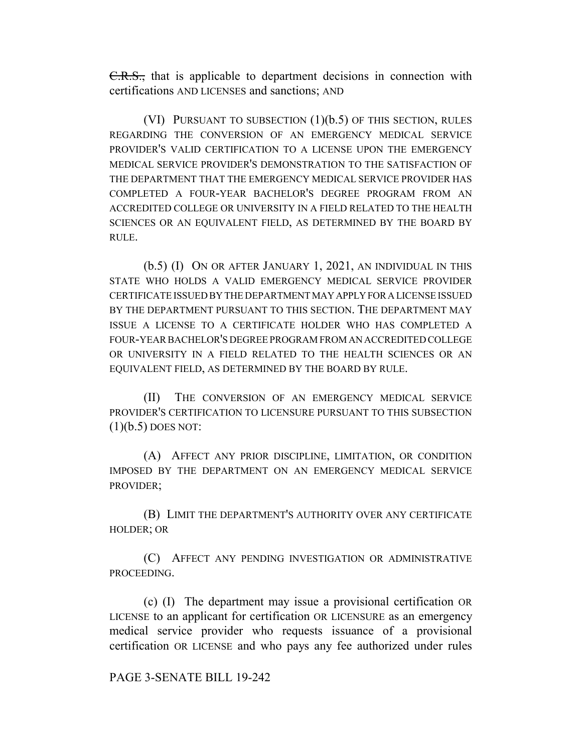C.R.S., that is applicable to department decisions in connection with certifications AND LICENSES and sanctions; AND

(VI) PURSUANT TO SUBSECTION (1)(b.5) OF THIS SECTION, RULES REGARDING THE CONVERSION OF AN EMERGENCY MEDICAL SERVICE PROVIDER'S VALID CERTIFICATION TO A LICENSE UPON THE EMERGENCY MEDICAL SERVICE PROVIDER'S DEMONSTRATION TO THE SATISFACTION OF THE DEPARTMENT THAT THE EMERGENCY MEDICAL SERVICE PROVIDER HAS COMPLETED A FOUR-YEAR BACHELOR'S DEGREE PROGRAM FROM AN ACCREDITED COLLEGE OR UNIVERSITY IN A FIELD RELATED TO THE HEALTH SCIENCES OR AN EQUIVALENT FIELD, AS DETERMINED BY THE BOARD BY RULE.

(b.5) (I) ON OR AFTER JANUARY 1, 2021, AN INDIVIDUAL IN THIS STATE WHO HOLDS A VALID EMERGENCY MEDICAL SERVICE PROVIDER CERTIFICATE ISSUED BY THE DEPARTMENT MAY APPLY FOR A LICENSE ISSUED BY THE DEPARTMENT PURSUANT TO THIS SECTION. THE DEPARTMENT MAY ISSUE A LICENSE TO A CERTIFICATE HOLDER WHO HAS COMPLETED A FOUR-YEAR BACHELOR'S DEGREE PROGRAM FROM AN ACCREDITED COLLEGE OR UNIVERSITY IN A FIELD RELATED TO THE HEALTH SCIENCES OR AN EQUIVALENT FIELD, AS DETERMINED BY THE BOARD BY RULE.

(II) THE CONVERSION OF AN EMERGENCY MEDICAL SERVICE PROVIDER'S CERTIFICATION TO LICENSURE PURSUANT TO THIS SUBSECTION  $(1)(b.5)$  DOES NOT:

(A) AFFECT ANY PRIOR DISCIPLINE, LIMITATION, OR CONDITION IMPOSED BY THE DEPARTMENT ON AN EMERGENCY MEDICAL SERVICE PROVIDER;

(B) LIMIT THE DEPARTMENT'S AUTHORITY OVER ANY CERTIFICATE HOLDER; OR

(C) AFFECT ANY PENDING INVESTIGATION OR ADMINISTRATIVE PROCEEDING.

(c) (I) The department may issue a provisional certification OR LICENSE to an applicant for certification OR LICENSURE as an emergency medical service provider who requests issuance of a provisional certification OR LICENSE and who pays any fee authorized under rules

## PAGE 3-SENATE BILL 19-242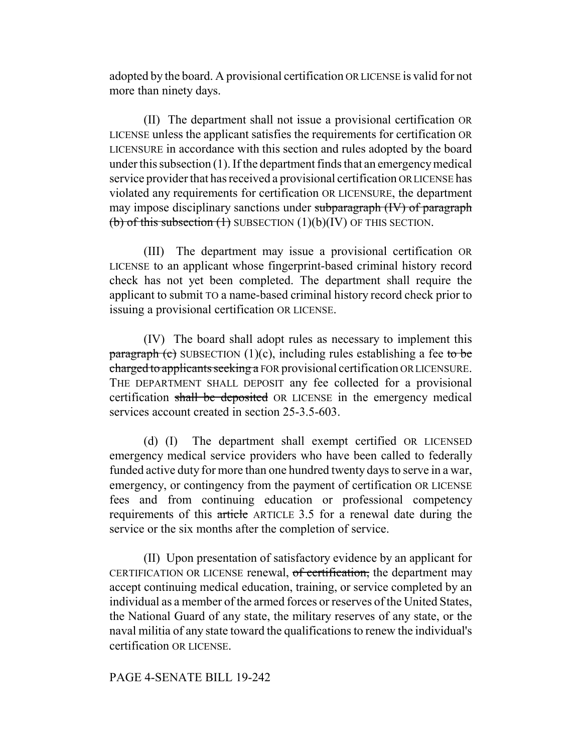adopted by the board. A provisional certification OR LICENSE is valid for not more than ninety days.

(II) The department shall not issue a provisional certification OR LICENSE unless the applicant satisfies the requirements for certification OR LICENSURE in accordance with this section and rules adopted by the board under this subsection (1). If the department finds that an emergency medical service provider that has received a provisional certification OR LICENSE has violated any requirements for certification OR LICENSURE, the department may impose disciplinary sanctions under subparagraph (IV) of paragraph (b) of this subsection  $(1)$  SUBSECTION  $(1)(b)(IV)$  OF THIS SECTION.

(III) The department may issue a provisional certification OR LICENSE to an applicant whose fingerprint-based criminal history record check has not yet been completed. The department shall require the applicant to submit TO a name-based criminal history record check prior to issuing a provisional certification OR LICENSE.

(IV) The board shall adopt rules as necessary to implement this paragraph (c) SUBSECTION (1)(c), including rules establishing a fee to be charged to applicants seeking a FOR provisional certification OR LICENSURE. THE DEPARTMENT SHALL DEPOSIT any fee collected for a provisional certification shall be deposited OR LICENSE in the emergency medical services account created in section 25-3.5-603.

(d) (I) The department shall exempt certified OR LICENSED emergency medical service providers who have been called to federally funded active duty for more than one hundred twenty days to serve in a war, emergency, or contingency from the payment of certification OR LICENSE fees and from continuing education or professional competency requirements of this article ARTICLE 3.5 for a renewal date during the service or the six months after the completion of service.

(II) Upon presentation of satisfactory evidence by an applicant for CERTIFICATION OR LICENSE renewal, of certification, the department may accept continuing medical education, training, or service completed by an individual as a member of the armed forces or reserves of the United States, the National Guard of any state, the military reserves of any state, or the naval militia of any state toward the qualifications to renew the individual's certification OR LICENSE.

# PAGE 4-SENATE BILL 19-242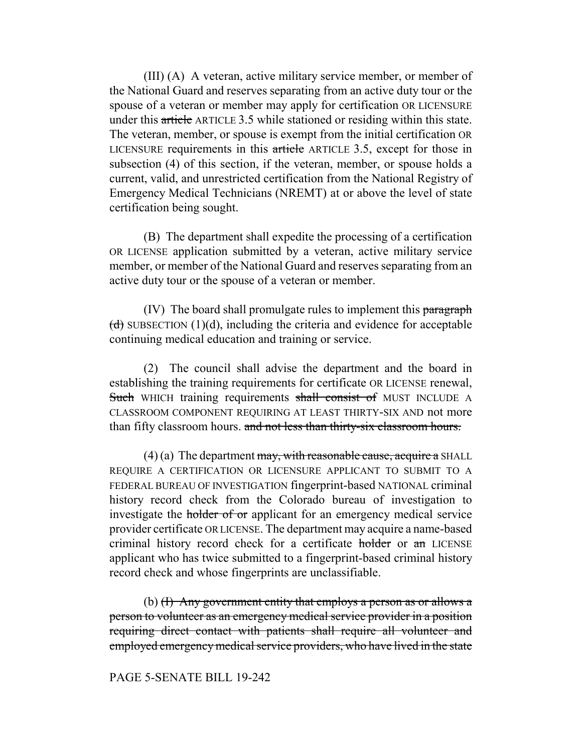(III) (A) A veteran, active military service member, or member of the National Guard and reserves separating from an active duty tour or the spouse of a veteran or member may apply for certification OR LICENSURE under this article ARTICLE 3.5 while stationed or residing within this state. The veteran, member, or spouse is exempt from the initial certification OR LICENSURE requirements in this article ARTICLE 3.5, except for those in subsection (4) of this section, if the veteran, member, or spouse holds a current, valid, and unrestricted certification from the National Registry of Emergency Medical Technicians (NREMT) at or above the level of state certification being sought.

(B) The department shall expedite the processing of a certification OR LICENSE application submitted by a veteran, active military service member, or member of the National Guard and reserves separating from an active duty tour or the spouse of a veteran or member.

(IV) The board shall promulgate rules to implement this paragraph  $(d)$  SUBSECTION (1)(d), including the criteria and evidence for acceptable continuing medical education and training or service.

(2) The council shall advise the department and the board in establishing the training requirements for certificate OR LICENSE renewal, Such WHICH training requirements shall consist of MUST INCLUDE A CLASSROOM COMPONENT REQUIRING AT LEAST THIRTY-SIX AND not more than fifty classroom hours. and not less than thirty-six classroom hours.

 $(4)$  (a) The department may, with reasonable cause, acquire a SHALL REQUIRE A CERTIFICATION OR LICENSURE APPLICANT TO SUBMIT TO A FEDERAL BUREAU OF INVESTIGATION fingerprint-based NATIONAL criminal history record check from the Colorado bureau of investigation to investigate the holder of or applicant for an emergency medical service provider certificate OR LICENSE. The department may acquire a name-based criminal history record check for a certificate holder or an LICENSE applicant who has twice submitted to a fingerprint-based criminal history record check and whose fingerprints are unclassifiable.

(b) (I) Any government entity that employs a person as or allows a person to volunteer as an emergency medical service provider in a position requiring direct contact with patients shall require all volunteer and employed emergency medical service providers, who have lived in the state

## PAGE 5-SENATE BILL 19-242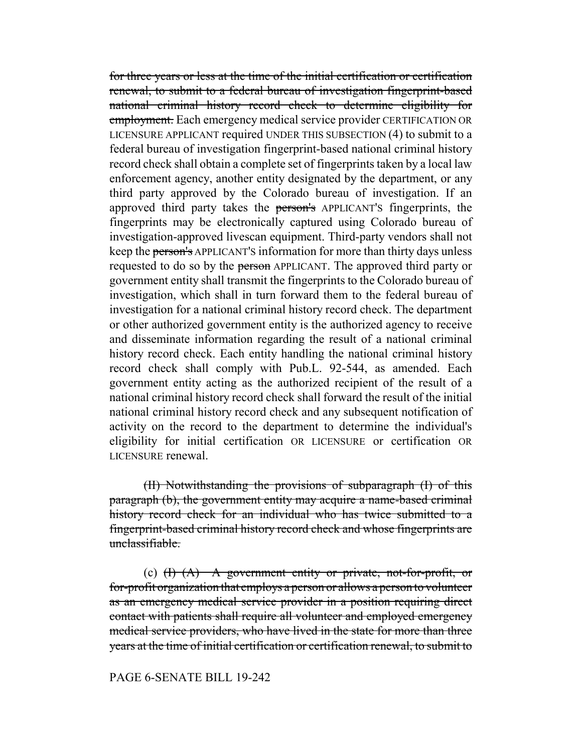for three years or less at the time of the initial certification or certification renewal, to submit to a federal bureau of investigation fingerprint-based national criminal history record check to determine eligibility for employment. Each emergency medical service provider CERTIFICATION OR LICENSURE APPLICANT required UNDER THIS SUBSECTION (4) to submit to a federal bureau of investigation fingerprint-based national criminal history record check shall obtain a complete set of fingerprints taken by a local law enforcement agency, another entity designated by the department, or any third party approved by the Colorado bureau of investigation. If an approved third party takes the person's APPLICANT'S fingerprints, the fingerprints may be electronically captured using Colorado bureau of investigation-approved livescan equipment. Third-party vendors shall not keep the person's APPLICANT'S information for more than thirty days unless requested to do so by the person APPLICANT. The approved third party or government entity shall transmit the fingerprints to the Colorado bureau of investigation, which shall in turn forward them to the federal bureau of investigation for a national criminal history record check. The department or other authorized government entity is the authorized agency to receive and disseminate information regarding the result of a national criminal history record check. Each entity handling the national criminal history record check shall comply with Pub.L. 92-544, as amended. Each government entity acting as the authorized recipient of the result of a national criminal history record check shall forward the result of the initial national criminal history record check and any subsequent notification of activity on the record to the department to determine the individual's eligibility for initial certification OR LICENSURE or certification OR LICENSURE renewal.

(II) Notwithstanding the provisions of subparagraph (I) of this paragraph (b), the government entity may acquire a name-based criminal history record check for an individual who has twice submitted to a fingerprint-based criminal history record check and whose fingerprints are unclassifiable.

(c)  $(H)$   $(A)$  A government entity or private, not-for-profit, or for-profit organization that employs a person or allows a person to volunteer as an emergency medical service provider in a position requiring direct contact with patients shall require all volunteer and employed emergency medical service providers, who have lived in the state for more than three years at the time of initial certification or certification renewal, to submit to

## PAGE 6-SENATE BILL 19-242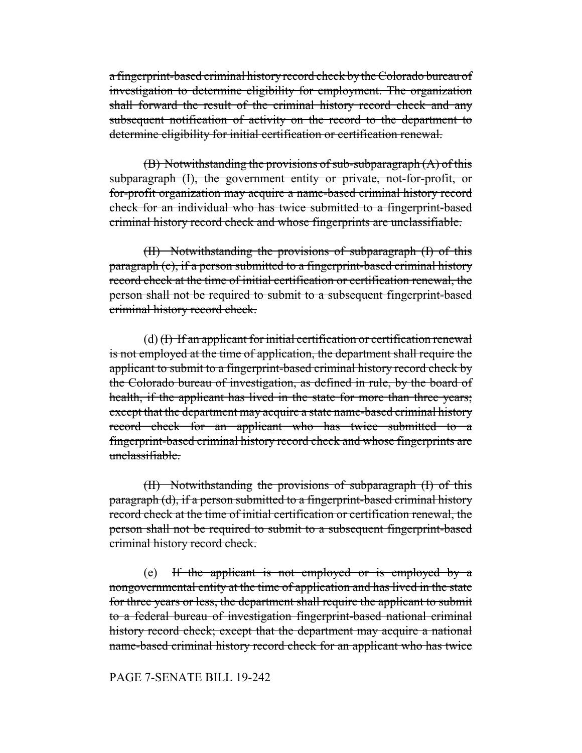a fingerprint-based criminal history record check by the Colorado bureau of investigation to determine eligibility for employment. The organization shall forward the result of the criminal history record check and any subsequent notification of activity on the record to the department to determine eligibility for initial certification or certification renewal.

(B) Notwithstanding the provisions of sub-subparagraph (A) of this subparagraph (I), the government entity or private, not-for-profit, or for-profit organization may acquire a name-based criminal history record check for an individual who has twice submitted to a fingerprint-based criminal history record check and whose fingerprints are unclassifiable.

(II) Notwithstanding the provisions of subparagraph (I) of this paragraph (c), if a person submitted to a fingerprint-based criminal history record check at the time of initial certification or certification renewal, the person shall not be required to submit to a subsequent fingerprint-based criminal history record check.

 $(d)$  (I) If an applicant for initial certification or certification renewal is not employed at the time of application, the department shall require the applicant to submit to a fingerprint-based criminal history record check by the Colorado bureau of investigation, as defined in rule, by the board of health, if the applicant has lived in the state for more than three years; except that the department may acquire a state name-based criminal history record check for an applicant who has twice submitted to a fingerprint-based criminal history record check and whose fingerprints are unclassifiable.

(II) Notwithstanding the provisions of subparagraph (I) of this paragraph (d), if a person submitted to a fingerprint-based criminal history record check at the time of initial certification or certification renewal, the person shall not be required to submit to a subsequent fingerprint-based criminal history record check.

(e) If the applicant is not employed or is employed by a nongovernmental entity at the time of application and has lived in the state for three years or less, the department shall require the applicant to submit to a federal bureau of investigation fingerprint-based national criminal history record check; except that the department may acquire a national name-based criminal history record check for an applicant who has twice

## PAGE 7-SENATE BILL 19-242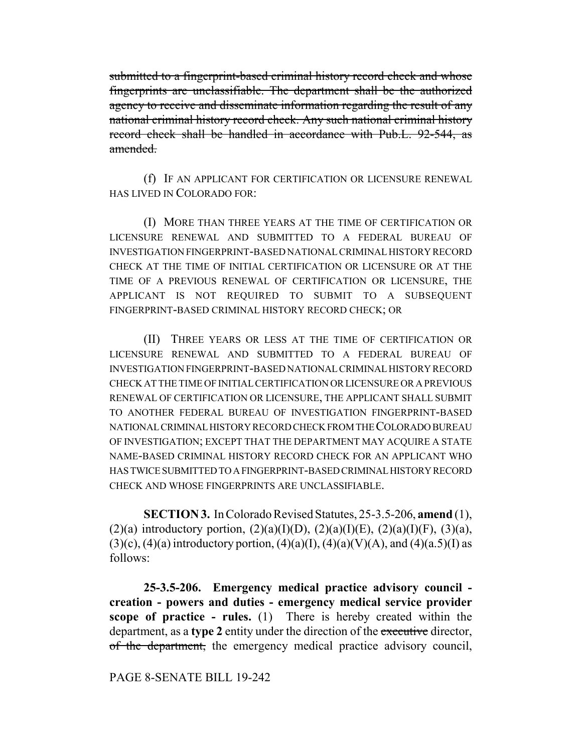submitted to a fingerprint-based criminal history record check and whose fingerprints are unclassifiable. The department shall be the authorized agency to receive and disseminate information regarding the result of any national criminal history record check. Any such national criminal history record check shall be handled in accordance with Pub.L. 92-544, as amended.

(f) IF AN APPLICANT FOR CERTIFICATION OR LICENSURE RENEWAL HAS LIVED IN COLORADO FOR:

(I) MORE THAN THREE YEARS AT THE TIME OF CERTIFICATION OR LICENSURE RENEWAL AND SUBMITTED TO A FEDERAL BUREAU OF INVESTIGATION FINGERPRINT-BASED NATIONAL CRIMINAL HISTORY RECORD CHECK AT THE TIME OF INITIAL CERTIFICATION OR LICENSURE OR AT THE TIME OF A PREVIOUS RENEWAL OF CERTIFICATION OR LICENSURE, THE APPLICANT IS NOT REQUIRED TO SUBMIT TO A SUBSEQUENT FINGERPRINT-BASED CRIMINAL HISTORY RECORD CHECK; OR

(II) THREE YEARS OR LESS AT THE TIME OF CERTIFICATION OR LICENSURE RENEWAL AND SUBMITTED TO A FEDERAL BUREAU OF INVESTIGATION FINGERPRINT-BASED NATIONAL CRIMINAL HISTORY RECORD CHECK AT THE TIME OF INITIAL CERTIFICATION OR LICENSURE OR A PREVIOUS RENEWAL OF CERTIFICATION OR LICENSURE, THE APPLICANT SHALL SUBMIT TO ANOTHER FEDERAL BUREAU OF INVESTIGATION FINGERPRINT-BASED NATIONAL CRIMINAL HISTORY RECORD CHECK FROM THE COLORADO BUREAU OF INVESTIGATION; EXCEPT THAT THE DEPARTMENT MAY ACQUIRE A STATE NAME-BASED CRIMINAL HISTORY RECORD CHECK FOR AN APPLICANT WHO HAS TWICE SUBMITTED TO A FINGERPRINT-BASED CRIMINAL HISTORY RECORD CHECK AND WHOSE FINGERPRINTS ARE UNCLASSIFIABLE.

**SECTION 3.** In Colorado Revised Statutes, 25-3.5-206, **amend** (1), (2)(a) introductory portion,  $(2)(a)(I)(D)$ ,  $(2)(a)(I)(E)$ ,  $(2)(a)(I)(F)$ ,  $(3)(a)$ ,  $(3)(c)$ ,  $(4)(a)$  introductory portion,  $(4)(a)(I)$ ,  $(4)(a)(V)(A)$ , and  $(4)(a.5)(I)$  as follows:

**25-3.5-206. Emergency medical practice advisory council creation - powers and duties - emergency medical service provider scope of practice - rules.** (1) There is hereby created within the department, as a **type 2** entity under the direction of the executive director, of the department, the emergency medical practice advisory council,

## PAGE 8-SENATE BILL 19-242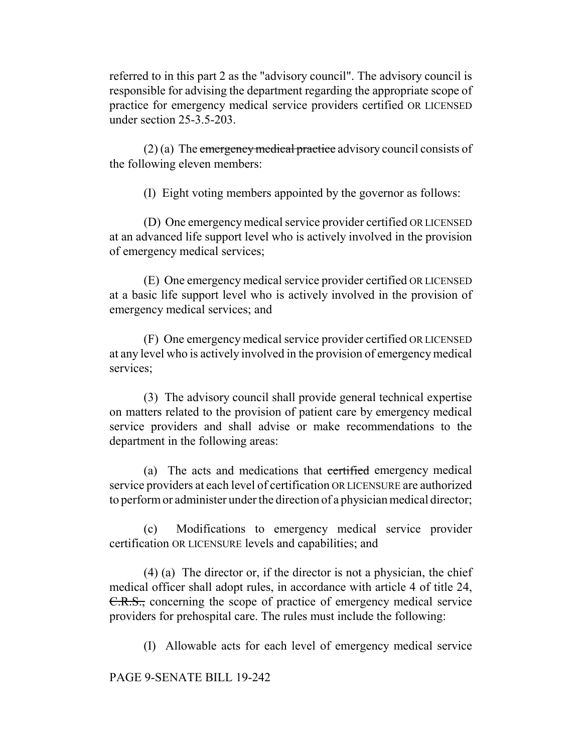referred to in this part 2 as the "advisory council". The advisory council is responsible for advising the department regarding the appropriate scope of practice for emergency medical service providers certified OR LICENSED under section 25-3.5-203.

 $(2)$  (a) The emergency medical practice advisory council consists of the following eleven members:

(I) Eight voting members appointed by the governor as follows:

(D) One emergency medical service provider certified OR LICENSED at an advanced life support level who is actively involved in the provision of emergency medical services;

(E) One emergency medical service provider certified OR LICENSED at a basic life support level who is actively involved in the provision of emergency medical services; and

(F) One emergency medical service provider certified OR LICENSED at any level who is actively involved in the provision of emergency medical services;

(3) The advisory council shall provide general technical expertise on matters related to the provision of patient care by emergency medical service providers and shall advise or make recommendations to the department in the following areas:

(a) The acts and medications that certified emergency medical service providers at each level of certification OR LICENSURE are authorized to perform or administer under the direction of a physician medical director;

(c) Modifications to emergency medical service provider certification OR LICENSURE levels and capabilities; and

(4) (a) The director or, if the director is not a physician, the chief medical officer shall adopt rules, in accordance with article 4 of title 24, C.R.S., concerning the scope of practice of emergency medical service providers for prehospital care. The rules must include the following:

(I) Allowable acts for each level of emergency medical service

# PAGE 9-SENATE BILL 19-242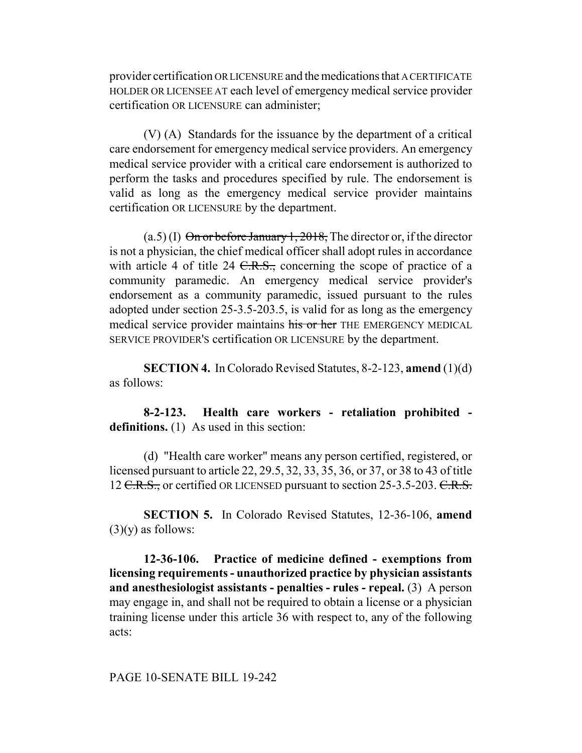provider certification OR LICENSURE and the medications that A CERTIFICATE HOLDER OR LICENSEE AT each level of emergency medical service provider certification OR LICENSURE can administer;

(V) (A) Standards for the issuance by the department of a critical care endorsement for emergency medical service providers. An emergency medical service provider with a critical care endorsement is authorized to perform the tasks and procedures specified by rule. The endorsement is valid as long as the emergency medical service provider maintains certification OR LICENSURE by the department.

 $(a.5)$  (I) On or before January 1, 2018, The director or, if the director is not a physician, the chief medical officer shall adopt rules in accordance with article 4 of title 24  $C.R.S.,$  concerning the scope of practice of a community paramedic. An emergency medical service provider's endorsement as a community paramedic, issued pursuant to the rules adopted under section 25-3.5-203.5, is valid for as long as the emergency medical service provider maintains his or her THE EMERGENCY MEDICAL SERVICE PROVIDER'S certification OR LICENSURE by the department.

**SECTION 4.** In Colorado Revised Statutes, 8-2-123, **amend** (1)(d) as follows:

**8-2-123. Health care workers - retaliation prohibited definitions.** (1) As used in this section:

(d) "Health care worker" means any person certified, registered, or licensed pursuant to article 22, 29.5, 32, 33, 35, 36, or 37, or 38 to 43 of title 12 C.R.S., or certified OR LICENSED pursuant to section 25-3.5-203. C.R.S.

**SECTION 5.** In Colorado Revised Statutes, 12-36-106, **amend**  $(3)(y)$  as follows:

**12-36-106. Practice of medicine defined - exemptions from licensing requirements - unauthorized practice by physician assistants and anesthesiologist assistants - penalties - rules - repeal.** (3) A person may engage in, and shall not be required to obtain a license or a physician training license under this article 36 with respect to, any of the following acts: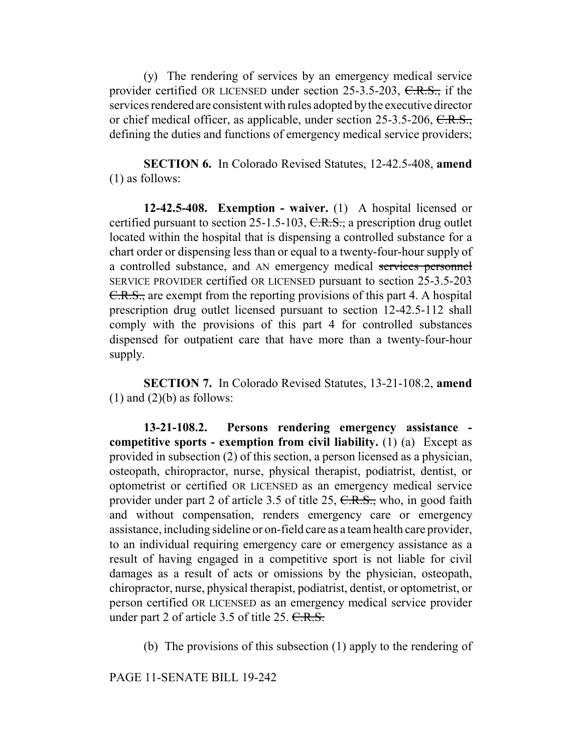(y) The rendering of services by an emergency medical service provider certified OR LICENSED under section 25-3.5-203, C.R.S., if the services rendered are consistent with rules adopted by the executive director or chief medical officer, as applicable, under section 25-3.5-206, C.R.S., defining the duties and functions of emergency medical service providers;

**SECTION 6.** In Colorado Revised Statutes, 12-42.5-408, **amend** (1) as follows:

**12-42.5-408. Exemption - waiver.** (1) A hospital licensed or certified pursuant to section 25-1.5-103,  $C.R.S.,$  a prescription drug outlet located within the hospital that is dispensing a controlled substance for a chart order or dispensing less than or equal to a twenty-four-hour supply of a controlled substance, and AN emergency medical services personnel SERVICE PROVIDER certified OR LICENSED pursuant to section 25-3.5-203 C.R.S., are exempt from the reporting provisions of this part 4. A hospital prescription drug outlet licensed pursuant to section 12-42.5-112 shall comply with the provisions of this part 4 for controlled substances dispensed for outpatient care that have more than a twenty-four-hour supply.

**SECTION 7.** In Colorado Revised Statutes, 13-21-108.2, **amend**  $(1)$  and  $(2)(b)$  as follows:

**13-21-108.2. Persons rendering emergency assistance competitive sports - exemption from civil liability.** (1) (a) Except as provided in subsection (2) of this section, a person licensed as a physician, osteopath, chiropractor, nurse, physical therapist, podiatrist, dentist, or optometrist or certified OR LICENSED as an emergency medical service provider under part 2 of article 3.5 of title 25, C.R.S., who, in good faith and without compensation, renders emergency care or emergency assistance, including sideline or on-field care as a team health care provider, to an individual requiring emergency care or emergency assistance as a result of having engaged in a competitive sport is not liable for civil damages as a result of acts or omissions by the physician, osteopath, chiropractor, nurse, physical therapist, podiatrist, dentist, or optometrist, or person certified OR LICENSED as an emergency medical service provider under part 2 of article 3.5 of title 25. C.R.S.

(b) The provisions of this subsection (1) apply to the rendering of

PAGE 11-SENATE BILL 19-242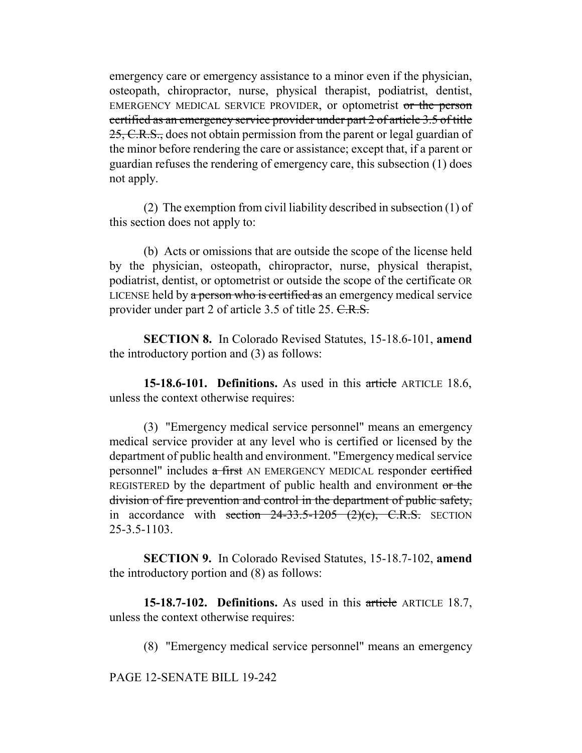emergency care or emergency assistance to a minor even if the physician, osteopath, chiropractor, nurse, physical therapist, podiatrist, dentist, EMERGENCY MEDICAL SERVICE PROVIDER, or optometrist or the person certified as an emergency service provider under part 2 of article 3.5 of title 25, C.R.S., does not obtain permission from the parent or legal guardian of the minor before rendering the care or assistance; except that, if a parent or guardian refuses the rendering of emergency care, this subsection (1) does not apply.

(2) The exemption from civil liability described in subsection (1) of this section does not apply to:

(b) Acts or omissions that are outside the scope of the license held by the physician, osteopath, chiropractor, nurse, physical therapist, podiatrist, dentist, or optometrist or outside the scope of the certificate OR LICENSE held by a person who is certified as an emergency medical service provider under part 2 of article 3.5 of title 25. C.R.S.

**SECTION 8.** In Colorado Revised Statutes, 15-18.6-101, **amend** the introductory portion and (3) as follows:

**15-18.6-101. Definitions.** As used in this article ARTICLE 18.6, unless the context otherwise requires:

(3) "Emergency medical service personnel" means an emergency medical service provider at any level who is certified or licensed by the department of public health and environment. "Emergency medical service personnel" includes a first AN EMERGENCY MEDICAL responder certified REGISTERED by the department of public health and environment or the division of fire prevention and control in the department of public safety, in accordance with section  $24-33.5-1205$   $(2)(c)$ , C.R.S. SECTION 25-3.5-1103.

**SECTION 9.** In Colorado Revised Statutes, 15-18.7-102, **amend** the introductory portion and (8) as follows:

**15-18.7-102. Definitions.** As used in this article ARTICLE 18.7, unless the context otherwise requires:

(8) "Emergency medical service personnel" means an emergency

PAGE 12-SENATE BILL 19-242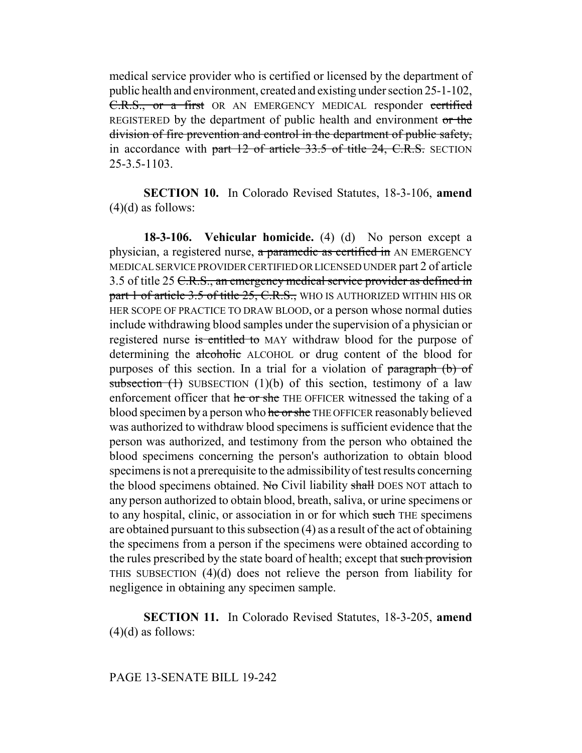medical service provider who is certified or licensed by the department of public health and environment, created and existing under section 25-1-102, C.R.S., or a first OR AN EMERGENCY MEDICAL responder certified REGISTERED by the department of public health and environment or the division of fire prevention and control in the department of public safety, in accordance with part 12 of article 33.5 of title 24, C.R.S. SECTION 25-3.5-1103.

**SECTION 10.** In Colorado Revised Statutes, 18-3-106, **amend**  $(4)(d)$  as follows:

**18-3-106. Vehicular homicide.** (4) (d) No person except a physician, a registered nurse, a paramedic as certified in AN EMERGENCY MEDICAL SERVICE PROVIDER CERTIFIED OR LICENSED UNDER part 2 of article 3.5 of title 25 <del>C.R.S., an emergency medical service provider as defined in</del> part 1 of article 3.5 of title 25, C.R.S., WHO IS AUTHORIZED WITHIN HIS OR HER SCOPE OF PRACTICE TO DRAW BLOOD, or a person whose normal duties include withdrawing blood samples under the supervision of a physician or registered nurse is entitled to MAY withdraw blood for the purpose of determining the alcoholic ALCOHOL or drug content of the blood for purposes of this section. In a trial for a violation of paragraph (b) of subsection  $(1)$  SUBSECTION  $(1)(b)$  of this section, testimony of a law enforcement officer that he or she THE OFFICER witnessed the taking of a blood specimen by a person who he or she THE OFFICER reasonably believed was authorized to withdraw blood specimens is sufficient evidence that the person was authorized, and testimony from the person who obtained the blood specimens concerning the person's authorization to obtain blood specimens is not a prerequisite to the admissibility of test results concerning the blood specimens obtained. No Civil liability shall DOES NOT attach to any person authorized to obtain blood, breath, saliva, or urine specimens or to any hospital, clinic, or association in or for which such THE specimens are obtained pursuant to this subsection (4) as a result of the act of obtaining the specimens from a person if the specimens were obtained according to the rules prescribed by the state board of health; except that such provision THIS SUBSECTION (4)(d) does not relieve the person from liability for negligence in obtaining any specimen sample.

**SECTION 11.** In Colorado Revised Statutes, 18-3-205, **amend**  $(4)(d)$  as follows: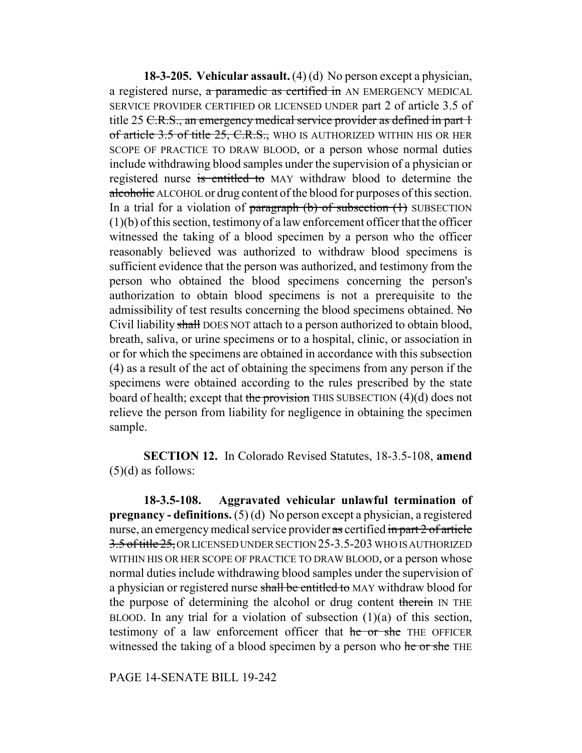**18-3-205. Vehicular assault.** (4) (d) No person except a physician, a registered nurse, a paramedic as certified in AN EMERGENCY MEDICAL SERVICE PROVIDER CERTIFIED OR LICENSED UNDER part 2 of article 3.5 of title 25 C.R.S., an emergency medical service provider as defined in part 1 of article 3.5 of title 25, C.R.S., WHO IS AUTHORIZED WITHIN HIS OR HER SCOPE OF PRACTICE TO DRAW BLOOD, or a person whose normal duties include withdrawing blood samples under the supervision of a physician or registered nurse is entitled to MAY withdraw blood to determine the alcoholic ALCOHOL or drug content of the blood for purposes of this section. In a trial for a violation of  $\frac{\text{pargraph}}{\text{b}}$  (b) of subsection (1) SUBSECTION (1)(b) of this section, testimony of a law enforcement officer that the officer witnessed the taking of a blood specimen by a person who the officer reasonably believed was authorized to withdraw blood specimens is sufficient evidence that the person was authorized, and testimony from the person who obtained the blood specimens concerning the person's authorization to obtain blood specimens is not a prerequisite to the admissibility of test results concerning the blood specimens obtained. No Civil liability shall DOES NOT attach to a person authorized to obtain blood, breath, saliva, or urine specimens or to a hospital, clinic, or association in or for which the specimens are obtained in accordance with this subsection (4) as a result of the act of obtaining the specimens from any person if the specimens were obtained according to the rules prescribed by the state board of health; except that the provision THIS SUBSECTION  $(4)(d)$  does not relieve the person from liability for negligence in obtaining the specimen sample.

**SECTION 12.** In Colorado Revised Statutes, 18-3.5-108, **amend**  $(5)(d)$  as follows:

**18-3.5-108. Aggravated vehicular unlawful termination of pregnancy - definitions.** (5) (d) No person except a physician, a registered nurse, an emergency medical service provider as certified in part 2 of article 3.5 of title 25, OR LICENSED UNDER SECTION 25-3.5-203 WHO IS AUTHORIZED WITHIN HIS OR HER SCOPE OF PRACTICE TO DRAW BLOOD, or a person whose normal duties include withdrawing blood samples under the supervision of a physician or registered nurse shall be entitled to MAY withdraw blood for the purpose of determining the alcohol or drug content therein IN THE BLOOD. In any trial for a violation of subsection  $(1)(a)$  of this section, testimony of a law enforcement officer that he or she THE OFFICER witnessed the taking of a blood specimen by a person who he or she THE

PAGE 14-SENATE BILL 19-242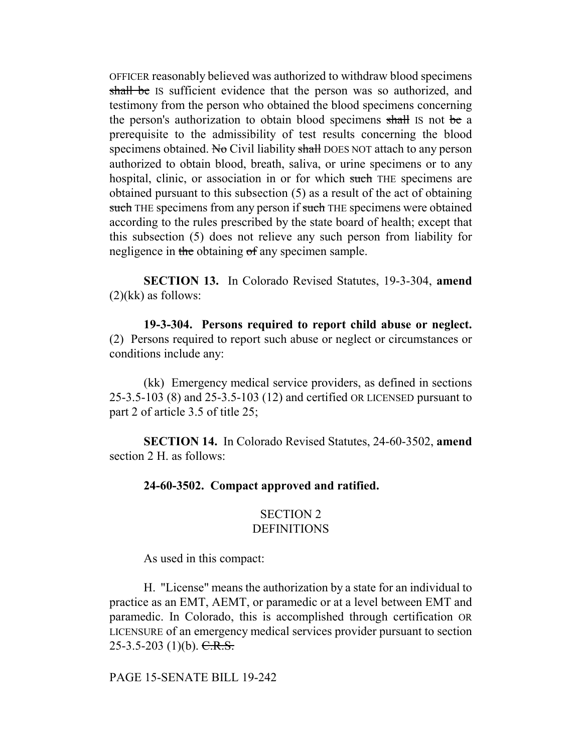OFFICER reasonably believed was authorized to withdraw blood specimens shall be IS sufficient evidence that the person was so authorized, and testimony from the person who obtained the blood specimens concerning the person's authorization to obtain blood specimens shall is not be a prerequisite to the admissibility of test results concerning the blood specimens obtained. No Civil liability shall DOES NOT attach to any person authorized to obtain blood, breath, saliva, or urine specimens or to any hospital, clinic, or association in or for which such THE specimens are obtained pursuant to this subsection (5) as a result of the act of obtaining such THE specimens from any person if such THE specimens were obtained according to the rules prescribed by the state board of health; except that this subsection (5) does not relieve any such person from liability for negligence in the obtaining of any specimen sample.

**SECTION 13.** In Colorado Revised Statutes, 19-3-304, **amend**  $(2)(kk)$  as follows:

**19-3-304. Persons required to report child abuse or neglect.** (2) Persons required to report such abuse or neglect or circumstances or conditions include any:

(kk) Emergency medical service providers, as defined in sections 25-3.5-103 (8) and 25-3.5-103 (12) and certified OR LICENSED pursuant to part 2 of article 3.5 of title 25;

**SECTION 14.** In Colorado Revised Statutes, 24-60-3502, **amend** section 2 H. as follows:

## **24-60-3502. Compact approved and ratified.**

## SECTION 2 **DEFINITIONS**

As used in this compact:

H. "License" means the authorization by a state for an individual to practice as an EMT, AEMT, or paramedic or at a level between EMT and paramedic. In Colorado, this is accomplished through certification OR LICENSURE of an emergency medical services provider pursuant to section 25-3.5-203 (1)(b).  $C.R.S.$ 

PAGE 15-SENATE BILL 19-242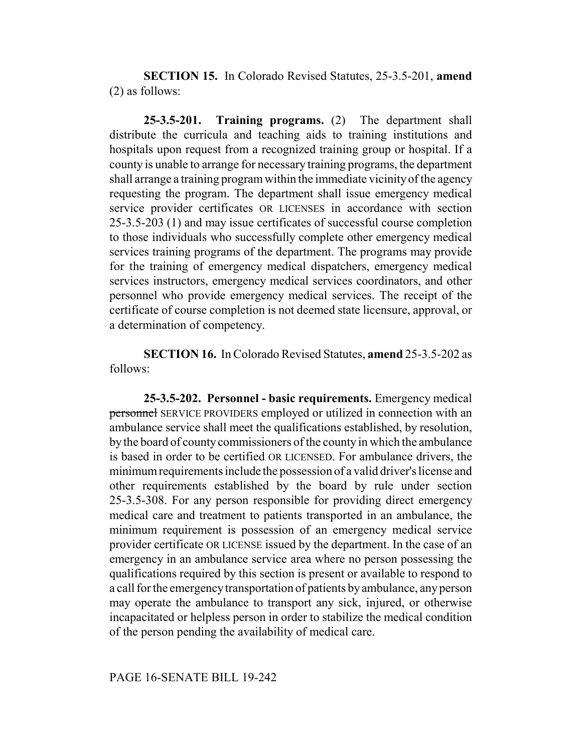**SECTION 15.** In Colorado Revised Statutes, 25-3.5-201, **amend** (2) as follows:

**25-3.5-201. Training programs.** (2) The department shall distribute the curricula and teaching aids to training institutions and hospitals upon request from a recognized training group or hospital. If a county is unable to arrange for necessary training programs, the department shall arrange a training program within the immediate vicinity of the agency requesting the program. The department shall issue emergency medical service provider certificates OR LICENSES in accordance with section 25-3.5-203 (1) and may issue certificates of successful course completion to those individuals who successfully complete other emergency medical services training programs of the department. The programs may provide for the training of emergency medical dispatchers, emergency medical services instructors, emergency medical services coordinators, and other personnel who provide emergency medical services. The receipt of the certificate of course completion is not deemed state licensure, approval, or a determination of competency.

**SECTION 16.** In Colorado Revised Statutes, **amend** 25-3.5-202 as follows:

**25-3.5-202. Personnel - basic requirements.** Emergency medical personnel SERVICE PROVIDERS employed or utilized in connection with an ambulance service shall meet the qualifications established, by resolution, by the board of county commissioners of the county in which the ambulance is based in order to be certified OR LICENSED. For ambulance drivers, the minimum requirements include the possession of a valid driver's license and other requirements established by the board by rule under section 25-3.5-308. For any person responsible for providing direct emergency medical care and treatment to patients transported in an ambulance, the minimum requirement is possession of an emergency medical service provider certificate OR LICENSE issued by the department. In the case of an emergency in an ambulance service area where no person possessing the qualifications required by this section is present or available to respond to a call for the emergency transportation of patients by ambulance, any person may operate the ambulance to transport any sick, injured, or otherwise incapacitated or helpless person in order to stabilize the medical condition of the person pending the availability of medical care.

## PAGE 16-SENATE BILL 19-242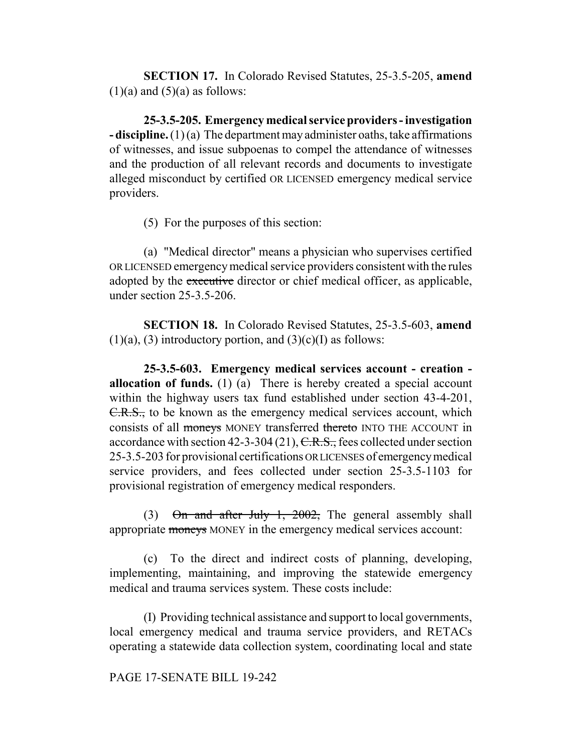**SECTION 17.** In Colorado Revised Statutes, 25-3.5-205, **amend**  $(1)(a)$  and  $(5)(a)$  as follows:

**25-3.5-205. Emergency medical service providers - investigation - discipline.** (1) (a) The department may administer oaths, take affirmations of witnesses, and issue subpoenas to compel the attendance of witnesses and the production of all relevant records and documents to investigate alleged misconduct by certified OR LICENSED emergency medical service providers.

(5) For the purposes of this section:

(a) "Medical director" means a physician who supervises certified OR LICENSED emergency medical service providers consistent with the rules adopted by the executive director or chief medical officer, as applicable, under section 25-3.5-206.

**SECTION 18.** In Colorado Revised Statutes, 25-3.5-603, **amend**  $(1)(a)$ ,  $(3)$  introductory portion, and  $(3)(c)(I)$  as follows:

**25-3.5-603. Emergency medical services account - creation allocation of funds.** (1) (a) There is hereby created a special account within the highway users tax fund established under section 43-4-201, C.R.S., to be known as the emergency medical services account, which consists of all moneys MONEY transferred thereto INTO THE ACCOUNT in accordance with section 42-3-304 (21),  $C.R.S.,$  fees collected under section 25-3.5-203 for provisional certifications OR LICENSES of emergency medical service providers, and fees collected under section 25-3.5-1103 for provisional registration of emergency medical responders.

(3)  $\Theta$ n and after July 1, 2002, The general assembly shall appropriate moneys MONEY in the emergency medical services account:

(c) To the direct and indirect costs of planning, developing, implementing, maintaining, and improving the statewide emergency medical and trauma services system. These costs include:

(I) Providing technical assistance and support to local governments, local emergency medical and trauma service providers, and RETACs operating a statewide data collection system, coordinating local and state

PAGE 17-SENATE BILL 19-242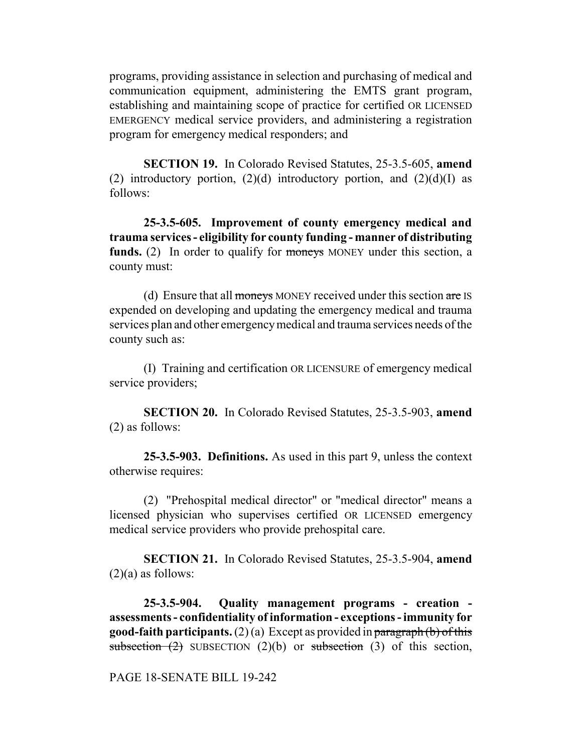programs, providing assistance in selection and purchasing of medical and communication equipment, administering the EMTS grant program, establishing and maintaining scope of practice for certified OR LICENSED EMERGENCY medical service providers, and administering a registration program for emergency medical responders; and

**SECTION 19.** In Colorado Revised Statutes, 25-3.5-605, **amend** (2) introductory portion,  $(2)(d)$  introductory portion, and  $(2)(d)(I)$  as follows:

**25-3.5-605. Improvement of county emergency medical and trauma services - eligibility for county funding - manner of distributing funds.** (2) In order to qualify for moneys MONEY under this section, a county must:

(d) Ensure that all moneys MONEY received under this section are IS expended on developing and updating the emergency medical and trauma services plan and other emergency medical and trauma services needs of the county such as:

(I) Training and certification OR LICENSURE of emergency medical service providers;

**SECTION 20.** In Colorado Revised Statutes, 25-3.5-903, **amend** (2) as follows:

**25-3.5-903. Definitions.** As used in this part 9, unless the context otherwise requires:

(2) "Prehospital medical director" or "medical director" means a licensed physician who supervises certified OR LICENSED emergency medical service providers who provide prehospital care.

**SECTION 21.** In Colorado Revised Statutes, 25-3.5-904, **amend**  $(2)(a)$  as follows:

**25-3.5-904. Quality management programs - creation assessments - confidentiality of information - exceptions - immunity for good-faith participants.** (2) (a) Except as provided in paragraph (b) of this subsection  $(2)$  SUBSECTION  $(2)(b)$  or subsection  $(3)$  of this section,

## PAGE 18-SENATE BILL 19-242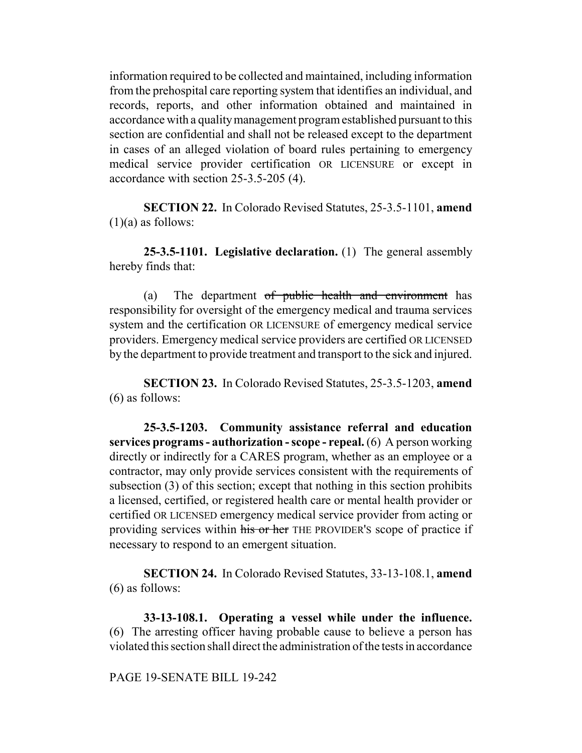information required to be collected and maintained, including information from the prehospital care reporting system that identifies an individual, and records, reports, and other information obtained and maintained in accordance with a quality management program established pursuant to this section are confidential and shall not be released except to the department in cases of an alleged violation of board rules pertaining to emergency medical service provider certification OR LICENSURE or except in accordance with section 25-3.5-205 (4).

**SECTION 22.** In Colorado Revised Statutes, 25-3.5-1101, **amend**  $(1)(a)$  as follows:

**25-3.5-1101. Legislative declaration.** (1) The general assembly hereby finds that:

(a) The department of public health and environment has responsibility for oversight of the emergency medical and trauma services system and the certification OR LICENSURE of emergency medical service providers. Emergency medical service providers are certified OR LICENSED by the department to provide treatment and transport to the sick and injured.

**SECTION 23.** In Colorado Revised Statutes, 25-3.5-1203, **amend** (6) as follows:

**25-3.5-1203. Community assistance referral and education services programs - authorization - scope - repeal.** (6) A person working directly or indirectly for a CARES program, whether as an employee or a contractor, may only provide services consistent with the requirements of subsection (3) of this section; except that nothing in this section prohibits a licensed, certified, or registered health care or mental health provider or certified OR LICENSED emergency medical service provider from acting or providing services within his or her THE PROVIDER'S scope of practice if necessary to respond to an emergent situation.

**SECTION 24.** In Colorado Revised Statutes, 33-13-108.1, **amend** (6) as follows:

**33-13-108.1. Operating a vessel while under the influence.** (6) The arresting officer having probable cause to believe a person has violated this section shall direct the administration of the tests in accordance

## PAGE 19-SENATE BILL 19-242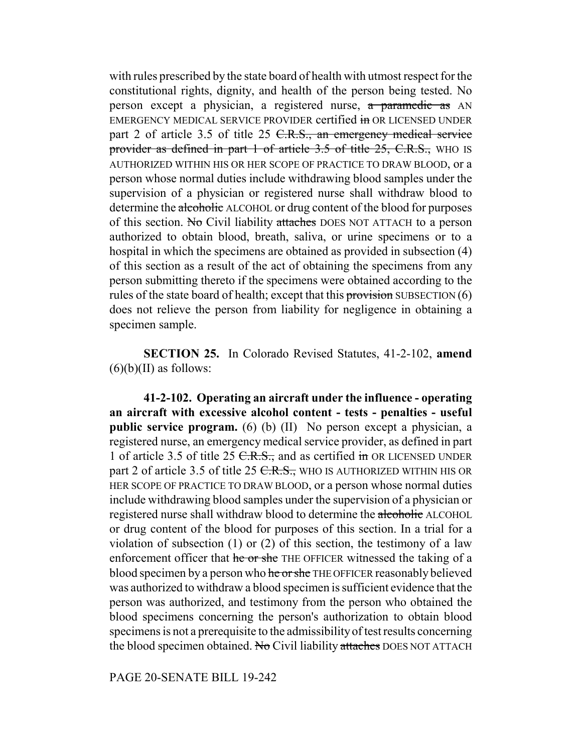with rules prescribed by the state board of health with utmost respect for the constitutional rights, dignity, and health of the person being tested. No person except a physician, a registered nurse, a paramedic as AN EMERGENCY MEDICAL SERVICE PROVIDER certified in OR LICENSED UNDER part 2 of article 3.5 of title 25 C.R.S., an emergency medical service provider as defined in part 1 of article 3.5 of title 25, C.R.S., WHO IS AUTHORIZED WITHIN HIS OR HER SCOPE OF PRACTICE TO DRAW BLOOD, or a person whose normal duties include withdrawing blood samples under the supervision of a physician or registered nurse shall withdraw blood to determine the alcoholic ALCOHOL or drug content of the blood for purposes of this section. No Civil liability attaches DOES NOT ATTACH to a person authorized to obtain blood, breath, saliva, or urine specimens or to a hospital in which the specimens are obtained as provided in subsection (4) of this section as a result of the act of obtaining the specimens from any person submitting thereto if the specimens were obtained according to the rules of the state board of health; except that this provision SUBSECTION  $(6)$ does not relieve the person from liability for negligence in obtaining a specimen sample.

**SECTION 25.** In Colorado Revised Statutes, 41-2-102, **amend**  $(6)(b)(II)$  as follows:

**41-2-102. Operating an aircraft under the influence - operating an aircraft with excessive alcohol content - tests - penalties - useful public service program.** (6) (b) (II) No person except a physician, a registered nurse, an emergency medical service provider, as defined in part 1 of article 3.5 of title 25 C.R.S., and as certified in OR LICENSED UNDER part 2 of article 3.5 of title 25 <del>C.R.S.,</del> WHO IS AUTHORIZED WITHIN HIS OR HER SCOPE OF PRACTICE TO DRAW BLOOD, or a person whose normal duties include withdrawing blood samples under the supervision of a physician or registered nurse shall withdraw blood to determine the alcoholic ALCOHOL or drug content of the blood for purposes of this section. In a trial for a violation of subsection (1) or (2) of this section, the testimony of a law enforcement officer that he or she THE OFFICER witnessed the taking of a blood specimen by a person who he or she THE OFFICER reasonably believed was authorized to withdraw a blood specimen is sufficient evidence that the person was authorized, and testimony from the person who obtained the blood specimens concerning the person's authorization to obtain blood specimens is not a prerequisite to the admissibility of test results concerning the blood specimen obtained. No Civil liability attaches DOES NOT ATTACH

PAGE 20-SENATE BILL 19-242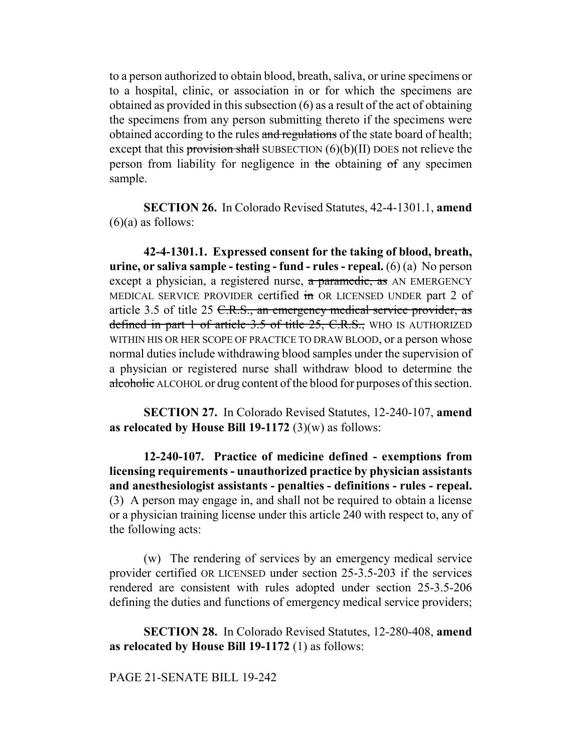to a person authorized to obtain blood, breath, saliva, or urine specimens or to a hospital, clinic, or association in or for which the specimens are obtained as provided in this subsection (6) as a result of the act of obtaining the specimens from any person submitting thereto if the specimens were obtained according to the rules and regulations of the state board of health; except that this provision shall SUBSECTION  $(6)(b)(II)$  DOES not relieve the person from liability for negligence in the obtaining of any specimen sample.

**SECTION 26.** In Colorado Revised Statutes, 42-4-1301.1, **amend**  $(6)(a)$  as follows:

**42-4-1301.1. Expressed consent for the taking of blood, breath, urine, or saliva sample - testing - fund - rules - repeal.** (6) (a) No person except a physician, a registered nurse, a paramedic, as AN EMERGENCY MEDICAL SERVICE PROVIDER certified in OR LICENSED UNDER part 2 of article 3.5 of title 25 C.R.S., an emergency medical service provider, as defined in part 1 of article 3.5 of title 25, C.R.S., WHO IS AUTHORIZED WITHIN HIS OR HER SCOPE OF PRACTICE TO DRAW BLOOD, or a person whose normal duties include withdrawing blood samples under the supervision of a physician or registered nurse shall withdraw blood to determine the alcoholic ALCOHOL or drug content of the blood for purposes of this section.

**SECTION 27.** In Colorado Revised Statutes, 12-240-107, **amend as relocated by House Bill 19-1172** (3)(w) as follows:

**12-240-107. Practice of medicine defined - exemptions from licensing requirements - unauthorized practice by physician assistants and anesthesiologist assistants - penalties - definitions - rules - repeal.** (3) A person may engage in, and shall not be required to obtain a license or a physician training license under this article 240 with respect to, any of the following acts:

(w) The rendering of services by an emergency medical service provider certified OR LICENSED under section 25-3.5-203 if the services rendered are consistent with rules adopted under section 25-3.5-206 defining the duties and functions of emergency medical service providers;

**SECTION 28.** In Colorado Revised Statutes, 12-280-408, **amend as relocated by House Bill 19-1172** (1) as follows:

## PAGE 21-SENATE BILL 19-242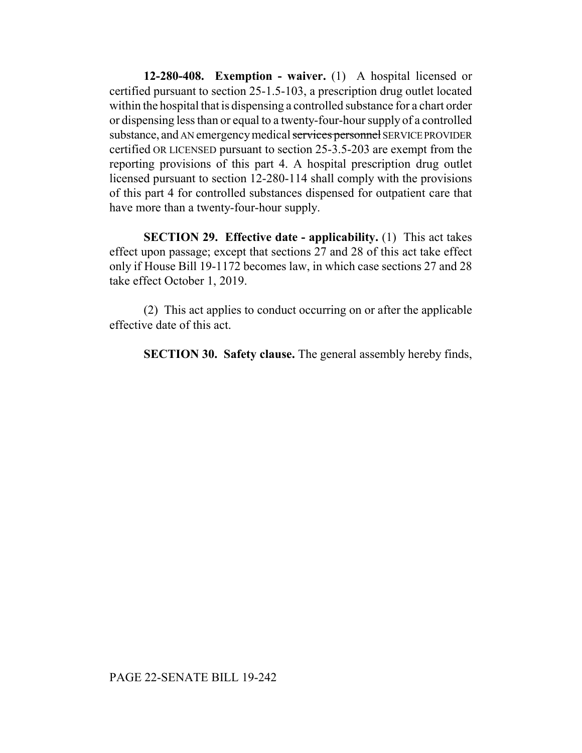**12-280-408. Exemption - waiver.** (1) A hospital licensed or certified pursuant to section 25-1.5-103, a prescription drug outlet located within the hospital that is dispensing a controlled substance for a chart order or dispensing less than or equal to a twenty-four-hour supply of a controlled substance, and AN emergency medical services personnel SERVICE PROVIDER certified OR LICENSED pursuant to section 25-3.5-203 are exempt from the reporting provisions of this part 4. A hospital prescription drug outlet licensed pursuant to section 12-280-114 shall comply with the provisions of this part 4 for controlled substances dispensed for outpatient care that have more than a twenty-four-hour supply.

**SECTION 29. Effective date - applicability.** (1) This act takes effect upon passage; except that sections 27 and 28 of this act take effect only if House Bill 19-1172 becomes law, in which case sections 27 and 28 take effect October 1, 2019.

(2) This act applies to conduct occurring on or after the applicable effective date of this act.

**SECTION 30. Safety clause.** The general assembly hereby finds,